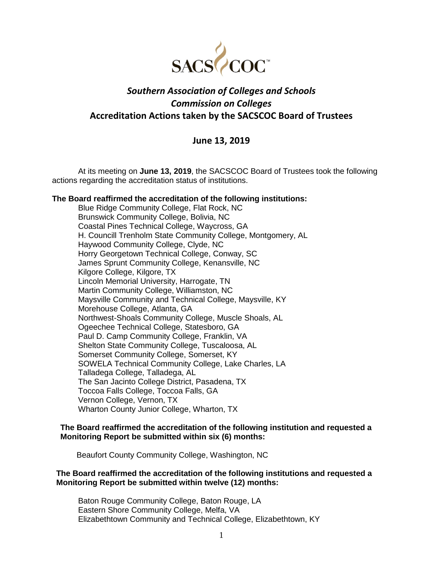

# *Southern Association of Colleges and Schools Commission on Colleges* **Accreditation Actions taken by the SACSCOC Board of Trustees**

## **June 13, 2019**

At its meeting on **June 13, 2019**, the SACSCOC Board of Trustees took the following actions regarding the accreditation status of institutions.

## **The Board reaffirmed the accreditation of the following institutions:**

Blue Ridge Community College, Flat Rock, NC Brunswick Community College, Bolivia, NC Coastal Pines Technical College, Waycross, GA H. Councill Trenholm State Community College, Montgomery, AL Haywood Community College, Clyde, NC Horry Georgetown Technical College, Conway, SC James Sprunt Community College, Kenansville, NC Kilgore College, Kilgore, TX Lincoln Memorial University, Harrogate, TN Martin Community College, Williamston, NC Maysville Community and Technical College, Maysville, KY Morehouse College, Atlanta, GA Northwest-Shoals Community College, Muscle Shoals, AL Ogeechee Technical College, Statesboro, GA Paul D. Camp Community College, Franklin, VA Shelton State Community College, Tuscaloosa, AL Somerset Community College, Somerset, KY SOWELA Technical Community College, Lake Charles, LA Talladega College, Talladega, AL The San Jacinto College District, Pasadena, TX Toccoa Falls College, Toccoa Falls, GA Vernon College, Vernon, TX Wharton County Junior College, Wharton, TX

#### **The Board reaffirmed the accreditation of the following institution and requested a Monitoring Report be submitted within six (6) months:**

Beaufort County Community College, Washington, NC

## **The Board reaffirmed the accreditation of the following institutions and requested a Monitoring Report be submitted within twelve (12) months:**

Baton Rouge Community College, Baton Rouge, LA Eastern Shore Community College, Melfa, VA Elizabethtown Community and Technical College, Elizabethtown, KY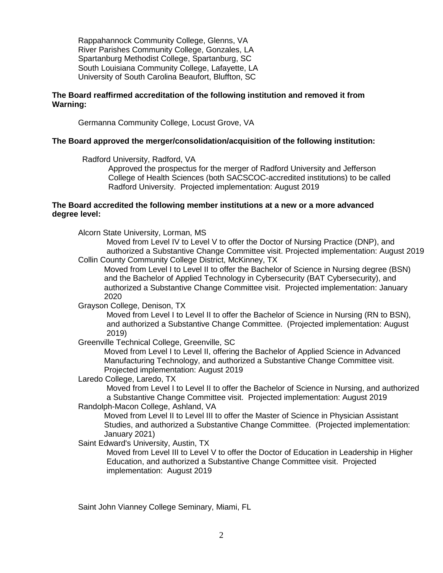Rappahannock Community College, Glenns, VA River Parishes Community College, Gonzales, LA Spartanburg Methodist College, Spartanburg, SC South Louisiana Community College, Lafayette, LA University of South Carolina Beaufort, Bluffton, SC

#### **The Board reaffirmed accreditation of the following institution and removed it from Warning:**

Germanna Community College, Locust Grove, VA

## **The Board approved the merger/consolidation/acquisition of the following institution:**

Radford University, Radford, VA

Approved the prospectus for the merger of Radford University and Jefferson College of Health Sciences (both SACSCOC-accredited institutions) to be called Radford University. Projected implementation: August 2019

## **The Board accredited the following member institutions at a new or a more advanced degree level:**

Alcorn State University, Lorman, MS

Moved from Level IV to Level V to offer the Doctor of Nursing Practice (DNP), and authorized a Substantive Change Committee visit. Projected implementation: August 2019 Collin County Community College District, McKinney, TX

Moved from Level I to Level II to offer the Bachelor of Science in Nursing degree (BSN) and the Bachelor of Applied Technology in Cybersecurity (BAT Cybersecurity), and authorized a Substantive Change Committee visit. Projected implementation: January 2020

Grayson College, Denison, TX

Moved from Level I to Level II to offer the Bachelor of Science in Nursing (RN to BSN), and authorized a Substantive Change Committee. (Projected implementation: August 2019)

Greenville Technical College, Greenville, SC

Moved from Level I to Level II, offering the Bachelor of Applied Science in Advanced Manufacturing Technology, and authorized a Substantive Change Committee visit. Projected implementation: August 2019

Laredo College, Laredo, TX

Moved from Level I to Level II to offer the Bachelor of Science in Nursing, and authorized a Substantive Change Committee visit. Projected implementation: August 2019

Randolph-Macon College, Ashland, VA

Moved from Level II to Level III to offer the Master of Science in Physician Assistant Studies, and authorized a Substantive Change Committee. (Projected implementation: January 2021)

Saint Edward's University, Austin, TX

Moved from Level III to Level V to offer the Doctor of Education in Leadership in Higher Education, and authorized a Substantive Change Committee visit. Projected implementation: August 2019

Saint John Vianney College Seminary, Miami, FL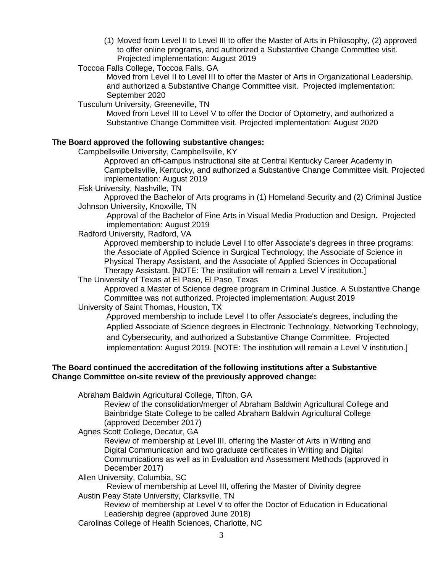(1) Moved from Level II to Level III to offer the Master of Arts in Philosophy, (2) approved to offer online programs, and authorized a Substantive Change Committee visit. Projected implementation: August 2019

Toccoa Falls College, Toccoa Falls, GA

Moved from Level II to Level III to offer the Master of Arts in Organizational Leadership, and authorized a Substantive Change Committee visit. Projected implementation: September 2020

Tusculum University, Greeneville, TN

Moved from Level III to Level V to offer the Doctor of Optometry, and authorized a Substantive Change Committee visit. Projected implementation: August 2020

## **The Board approved the following substantive changes:**

Campbellsville University, Campbellsville, KY

Approved an off-campus instructional site at Central Kentucky Career Academy in Campbellsville, Kentucky, and authorized a Substantive Change Committee visit. Projected implementation: August 2019

Fisk University, Nashville, TN

Approved the Bachelor of Arts programs in (1) Homeland Security and (2) Criminal Justice Johnson University, Knoxville, TN

Approval of the Bachelor of Fine Arts in Visual Media Production and Design. Projected implementation: August 2019

Radford University, Radford, VA

Approved membership to include Level I to offer Associate's degrees in three programs: the Associate of Applied Science in Surgical Technology; the Associate of Science in Physical Therapy Assistant, and the Associate of Applied Sciences in Occupational Therapy Assistant. [NOTE: The institution will remain a Level V institution.]

The University of Texas at El Paso, El Paso, Texas

Approved a Master of Science degree program in Criminal Justice. A Substantive Change Committee was not authorized. Projected implementation: August 2019

University of Saint Thomas, Houston, TX

Approved membership to include Level I to offer Associate's degrees, including the Applied Associate of Science degrees in Electronic Technology, Networking Technology, and Cybersecurity, and authorized a Substantive Change Committee. Projected implementation: August 2019. [NOTE: The institution will remain a Level V institution.]

## **The Board continued the accreditation of the following institutions after a Substantive Change Committee on-site review of the previously approved change:**

Abraham Baldwin Agricultural College, Tifton, GA

Review of the consolidation/merger of Abraham Baldwin Agricultural College and Bainbridge State College to be called Abraham Baldwin Agricultural College (approved December 2017)

Agnes Scott College, Decatur, GA

Review of membership at Level III, offering the Master of Arts in Writing and Digital Communication and two graduate certificates in Writing and Digital Communications as well as in Evaluation and Assessment Methods (approved in December 2017)

Allen University, Columbia, SC

Review of membership at Level III, offering the Master of Divinity degree Austin Peay State University, Clarksville, TN

Review of membership at Level V to offer the Doctor of Education in Educational Leadership degree (approved June 2018)

Carolinas College of Health Sciences, Charlotte, NC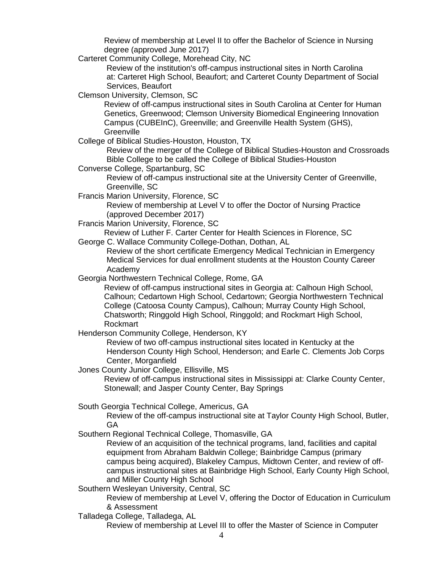Review of membership at Level II to offer the Bachelor of Science in Nursing degree (approved June 2017)

Carteret Community College, Morehead City, NC

Review of the institution's off-campus instructional sites in North Carolina at: Carteret High School, Beaufort; and Carteret County Department of Social Services, Beaufort

Clemson University, Clemson, SC

Review of off-campus instructional sites in South Carolina at Center for Human Genetics, Greenwood; Clemson University Biomedical Engineering Innovation Campus (CUBEInC), Greenville; and Greenville Health System (GHS), **Greenville** 

College of Biblical Studies-Houston, Houston, TX

Review of the merger of the College of Biblical Studies-Houston and Crossroads Bible College to be called the College of Biblical Studies-Houston

Converse College, Spartanburg, SC

Review of off-campus instructional site at the University Center of Greenville, Greenville, SC

Francis Marion University, Florence, SC

Review of membership at Level V to offer the Doctor of Nursing Practice (approved December 2017)

Francis Marion University, Florence, SC

Review of Luther F. Carter Center for Health Sciences in Florence, SC

George C. Wallace Community College-Dothan, Dothan, AL

Review of the short certificate Emergency Medical Technician in Emergency Medical Services for dual enrollment students at the Houston County Career Academy

Georgia Northwestern Technical College, Rome, GA

Review of off-campus instructional sites in Georgia at: Calhoun High School, Calhoun; Cedartown High School, Cedartown; Georgia Northwestern Technical College (Catoosa County Campus), Calhoun; Murray County High School, Chatsworth; Ringgold High School, Ringgold; and Rockmart High School, Rockmart

Henderson Community College, Henderson, KY

Review of two off-campus instructional sites located in Kentucky at the Henderson County High School, Henderson; and Earle C. Clements Job Corps Center, Morganfield

Jones County Junior College, Ellisville, MS

Review of off-campus instructional sites in Mississippi at: Clarke County Center, Stonewall; and Jasper County Center, Bay Springs

South Georgia Technical College, Americus, GA

Review of the off-campus instructional site at Taylor County High School, Butler, GA

Southern Regional Technical College, Thomasville, GA

Review of an acquisition of the technical programs, land, facilities and capital equipment from Abraham Baldwin College; Bainbridge Campus (primary campus being acquired), Blakeley Campus, Midtown Center, and review of offcampus instructional sites at Bainbridge High School, Early County High School, and Miller County High School

Southern Wesleyan University, Central, SC

Review of membership at Level V, offering the Doctor of Education in Curriculum & Assessment

Talladega College, Talladega, AL

Review of membership at Level III to offer the Master of Science in Computer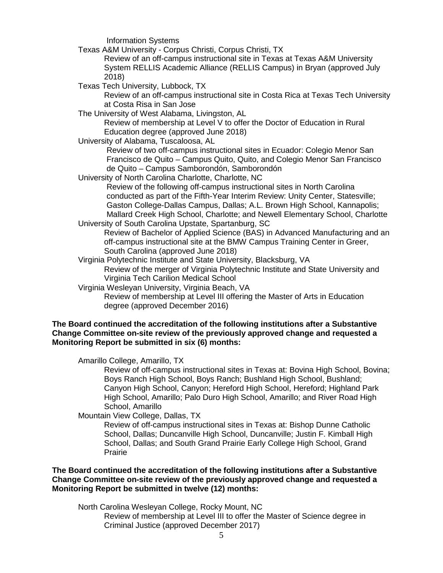Information Systems

Texas A&M University - Corpus Christi, Corpus Christi, TX

Review of an off-campus instructional site in Texas at Texas A&M University System RELLIS Academic Alliance (RELLIS Campus) in Bryan (approved July 2018)

Texas Tech University, Lubbock, TX

Review of an off-campus instructional site in Costa Rica at Texas Tech University at Costa Risa in San Jose

The University of West Alabama, Livingston, AL

Review of membership at Level V to offer the Doctor of Education in Rural Education degree (approved June 2018)

University of Alabama, Tuscaloosa, AL

Review of two off-campus instructional sites in Ecuador: Colegio Menor San Francisco de Quito – Campus Quito, Quito, and Colegio Menor San Francisco de Quito – Campus Samborondón, Samborondón

University of North Carolina Charlotte, Charlotte, NC

Review of the following off-campus instructional sites in North Carolina conducted as part of the Fifth-Year Interim Review: Unity Center, Statesville; Gaston College-Dallas Campus, Dallas; A.L. Brown High School, Kannapolis; Mallard Creek High School, Charlotte; and Newell Elementary School, Charlotte

University of South Carolina Upstate, Spartanburg, SC Review of Bachelor of Applied Science (BAS) in Advanced Manufacturing and an off-campus instructional site at the BMW Campus Training Center in Greer, South Carolina (approved June 2018)

Virginia Polytechnic Institute and State University, Blacksburg, VA

Review of the merger of Virginia Polytechnic Institute and State University and Virginia Tech Carilion Medical School

Virginia Wesleyan University, Virginia Beach, VA

Review of membership at Level III offering the Master of Arts in Education degree (approved December 2016)

## **The Board continued the accreditation of the following institutions after a Substantive Change Committee on-site review of the previously approved change and requested a Monitoring Report be submitted in six (6) months:**

Amarillo College, Amarillo, TX

Review of off-campus instructional sites in Texas at: Bovina High School, Bovina; Boys Ranch High School, Boys Ranch; Bushland High School, Bushland; Canyon High School, Canyon; Hereford High School, Hereford; Highland Park High School, Amarillo; Palo Duro High School, Amarillo; and River Road High School, Amarillo

Mountain View College, Dallas, TX

Review of off-campus instructional sites in Texas at: Bishop Dunne Catholic School, Dallas; Duncanville High School, Duncanville; Justin F. Kimball High School, Dallas; and South Grand Prairie Early College High School, Grand Prairie

## **The Board continued the accreditation of the following institutions after a Substantive Change Committee on-site review of the previously approved change and requested a Monitoring Report be submitted in twelve (12) months:**

North Carolina Wesleyan College, Rocky Mount, NC

Review of membership at Level III to offer the Master of Science degree in Criminal Justice (approved December 2017)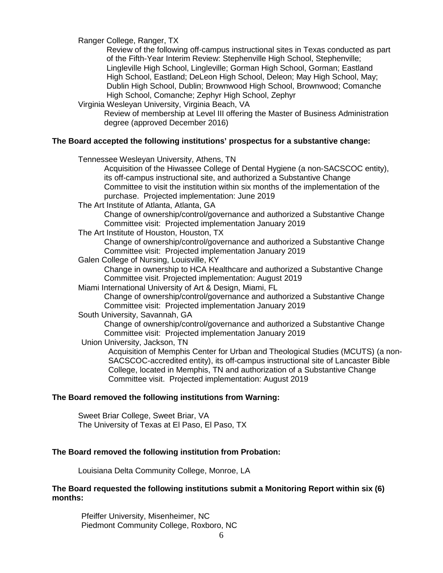Ranger College, Ranger, TX

Review of the following off-campus instructional sites in Texas conducted as part of the Fifth-Year Interim Review: Stephenville High School, Stephenville; Lingleville High School, Lingleville; Gorman High School, Gorman; Eastland High School, Eastland; DeLeon High School, Deleon; May High School, May; Dublin High School, Dublin; Brownwood High School, Brownwood; Comanche High School, Comanche; Zephyr High School, Zephyr

Virginia Wesleyan University, Virginia Beach, VA

Review of membership at Level III offering the Master of Business Administration degree (approved December 2016)

## **The Board accepted the following institutions' prospectus for a substantive change:**

Tennessee Wesleyan University, Athens, TN

Acquisition of the Hiwassee College of Dental Hygiene (a non-SACSCOC entity), its off-campus instructional site, and authorized a Substantive Change Committee to visit the institution within six months of the implementation of the purchase. Projected implementation: June 2019

The Art Institute of Atlanta, Atlanta, GA

Change of ownership/control/governance and authorized a Substantive Change Committee visit: Projected implementation January 2019

The Art Institute of Houston, Houston, TX

Change of ownership/control/governance and authorized a Substantive Change Committee visit: Projected implementation January 2019

Galen College of Nursing, Louisville, KY

Change in ownership to HCA Healthcare and authorized a Substantive Change Committee visit. Projected implementation: August 2019

Miami International University of Art & Design, Miami, FL

Change of ownership/control/governance and authorized a Substantive Change Committee visit: Projected implementation January 2019

South University, Savannah, GA

Change of ownership/control/governance and authorized a Substantive Change Committee visit: Projected implementation January 2019

Union University, Jackson, TN

Acquisition of Memphis Center for Urban and Theological Studies (MCUTS) (a non-SACSCOC-accredited entity), its off-campus instructional site of Lancaster Bible College, located in Memphis, TN and authorization of a Substantive Change Committee visit. Projected implementation: August 2019

#### **The Board removed the following institutions from Warning:**

Sweet Briar College, Sweet Briar, VA The University of Texas at El Paso, El Paso, TX

#### **The Board removed the following institution from Probation:**

Louisiana Delta Community College, Monroe, LA

#### **The Board requested the following institutions submit a Monitoring Report within six (6) months:**

Pfeiffer University, Misenheimer, NC Piedmont Community College, Roxboro, NC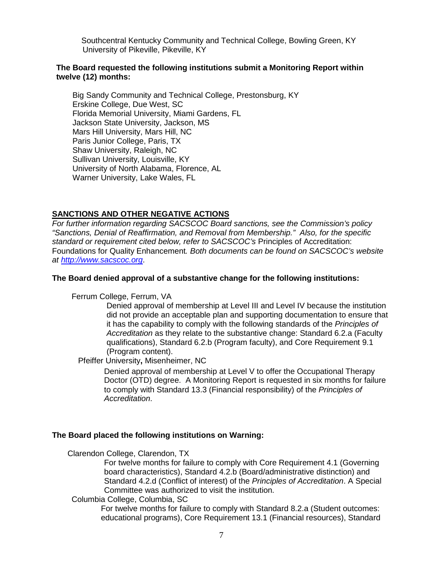Southcentral Kentucky Community and Technical College, Bowling Green, KY University of Pikeville, Pikeville, KY

#### **The Board requested the following institutions submit a Monitoring Report within twelve (12) months:**

Big Sandy Community and Technical College, Prestonsburg, KY Erskine College, Due West, SC Florida Memorial University, Miami Gardens, FL Jackson State University, Jackson, MS Mars Hill University, Mars Hill, NC Paris Junior College, Paris, TX Shaw University, Raleigh, NC Sullivan University, Louisville, KY University of North Alabama, Florence, AL Warner University, Lake Wales, FL

## **SANCTIONS AND OTHER NEGATIVE ACTIONS**

*For further information regarding SACSCOC Board sanctions, see the Commission's policy "Sanctions, Denial of Reaffirmation, and Removal from Membership." Also, for the specific standard or requirement cited below, refer to SACSCOC's* Principles of Accreditation: Foundations for Quality Enhancement*. Both documents can be found on SACSCOC's website at [http://www.sacscoc.org](http://www.sacscoc.org/)*.

#### **The Board denied approval of a substantive change for the following institutions:**

Ferrum College, Ferrum, VA

Denied approval of membership at Level III and Level IV because the institution did not provide an acceptable plan and supporting documentation to ensure that it has the capability to comply with the following standards of the *Principles of Accreditation* as they relate to the substantive change: Standard 6.2.a (Faculty qualifications), Standard 6.2.b (Program faculty), and Core Requirement 9.1 (Program content).

Pfeiffer University**,** Misenheimer, NC

Denied approval of membership at Level V to offer the Occupational Therapy Doctor (OTD) degree. A Monitoring Report is requested in six months for failure to comply with Standard 13.3 (Financial responsibility) of the *Principles of Accreditation*.

#### **The Board placed the following institutions on Warning:**

Clarendon College, Clarendon, TX

For twelve months for failure to comply with Core Requirement 4.1 (Governing board characteristics), Standard 4.2.b (Board/administrative distinction) and Standard 4.2.d (Conflict of interest) of the *Principles of Accreditation*. A Special Committee was authorized to visit the institution.

#### Columbia College, Columbia, SC

For twelve months for failure to comply with Standard 8.2.a (Student outcomes: educational programs), Core Requirement 13.1 (Financial resources), Standard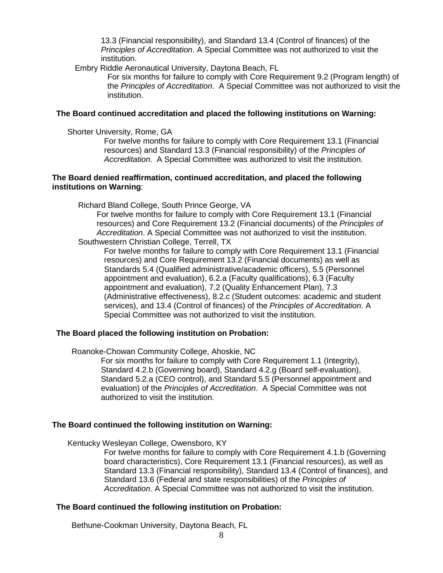13.3 (Financial responsibility), and Standard 13.4 (Control of finances) of the *Principles of Accreditation*. A Special Committee was not authorized to visit the institution.

Embry Riddle Aeronautical University, Daytona Beach, FL

For six months for failure to comply with Core Requirement 9.2 (Program length) of the *Principles of Accreditation*. A Special Committee was not authorized to visit the institution.

## **The Board continued accreditation and placed the following institutions on Warning:**

Shorter University, Rome, GA

For twelve months for failure to comply with Core Requirement 13.1 (Financial resources) and Standard 13.3 (Financial responsibility) of the *Principles of Accreditation*. A Special Committee was authorized to visit the institution.

## **The Board denied reaffirmation, continued accreditation, and placed the following institutions on Warning**:

Richard Bland College, South Prince George, VA

For twelve months for failure to comply with Core Requirement 13.1 (Financial resources) and Core Requirement 13.2 (Financial documents) of the *Principles of Accreditation*. A Special Committee was not authorized to visit the institution. Southwestern Christian College, Terrell, TX

For twelve months for failure to comply with Core Requirement 13.1 (Financial resources) and Core Requirement 13.2 (Financial documents) as well as Standards 5.4 (Qualified administrative/academic officers), 5.5 (Personnel appointment and evaluation), 6.2.a (Faculty qualifications), 6.3 (Faculty appointment and evaluation), 7.2 (Quality Enhancement Plan), 7.3 (Administrative effectiveness), 8.2.c (Student outcomes: academic and student services), and 13.4 (Control of finances) of the *Principles of Accreditation*. A Special Committee was not authorized to visit the institution.

## **The Board placed the following institution on Probation:**

Roanoke-Chowan Community College, Ahoskie, NC

For six months for failure to comply with Core Requirement 1.1 (Integrity), Standard 4.2.b (Governing board), Standard 4.2.g (Board self-evaluation), Standard 5.2.a (CEO control), and Standard 5.5 (Personnel appointment and evaluation) of the *Principles of Accreditation*. A Special Committee was not authorized to visit the institution.

#### **The Board continued the following institution on Warning:**

Kentucky Wesleyan College, Owensboro, KY

For twelve months for failure to comply with Core Requirement 4.1.b (Governing board characteristics), Core Requirement 13.1 (Financial resources), as well as Standard 13.3 (Financial responsibility), Standard 13.4 (Control of finances), and Standard 13.6 (Federal and state responsibilities) of the *Principles of Accreditation*. A Special Committee was not authorized to visit the institution.

#### **The Board continued the following institution on Probation:**

Bethune-Cookman University, Daytona Beach, FL